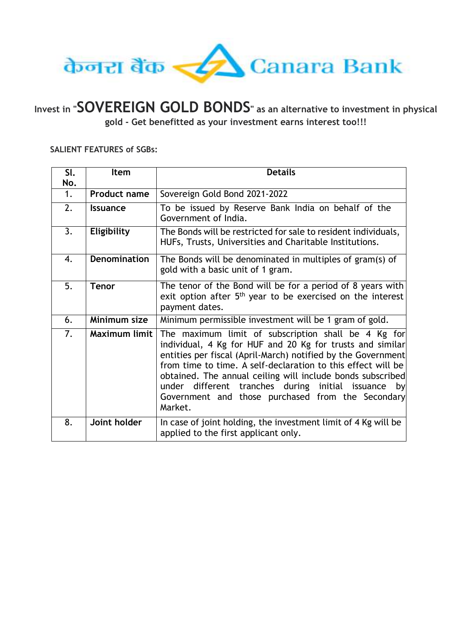

**Invest in "SOVEREIGN GOLD BONDS" as an alternative to investment in physical gold - Get benefitted as your investment earns interest too!!!**

## **SALIENT FEATURES of SGBs:**

| SI.<br>No.     | Item                | <b>Details</b>                                                                                                                                                                                                                                                                                                                                                                                                                        |
|----------------|---------------------|---------------------------------------------------------------------------------------------------------------------------------------------------------------------------------------------------------------------------------------------------------------------------------------------------------------------------------------------------------------------------------------------------------------------------------------|
| $\mathbf{1}$ . | <b>Product name</b> | Sovereign Gold Bond 2021-2022                                                                                                                                                                                                                                                                                                                                                                                                         |
| 2.             | <b>Issuance</b>     | To be issued by Reserve Bank India on behalf of the<br>Government of India.                                                                                                                                                                                                                                                                                                                                                           |
| 3.             | Eligibility         | The Bonds will be restricted for sale to resident individuals,<br>HUFs, Trusts, Universities and Charitable Institutions.                                                                                                                                                                                                                                                                                                             |
| 4.             | <b>Denomination</b> | The Bonds will be denominated in multiples of gram(s) of<br>gold with a basic unit of 1 gram.                                                                                                                                                                                                                                                                                                                                         |
| 5.             | <b>Tenor</b>        | The tenor of the Bond will be for a period of 8 years with<br>exit option after $5th$ year to be exercised on the interest<br>payment dates.                                                                                                                                                                                                                                                                                          |
| 6.             | Minimum size        | Minimum permissible investment will be 1 gram of gold.                                                                                                                                                                                                                                                                                                                                                                                |
| 7.             | Maximum limit       | The maximum limit of subscription shall be 4 Kg for<br>individual, 4 Kg for HUF and 20 Kg for trusts and similar<br>entities per fiscal (April-March) notified by the Government<br>from time to time. A self-declaration to this effect will be<br>obtained. The annual ceiling will include bonds subscribed<br>under different tranches during initial issuance by<br>Government and those purchased from the Secondary<br>Market. |
| 8.             | Joint holder        | In case of joint holding, the investment limit of 4 Kg will be<br>applied to the first applicant only.                                                                                                                                                                                                                                                                                                                                |